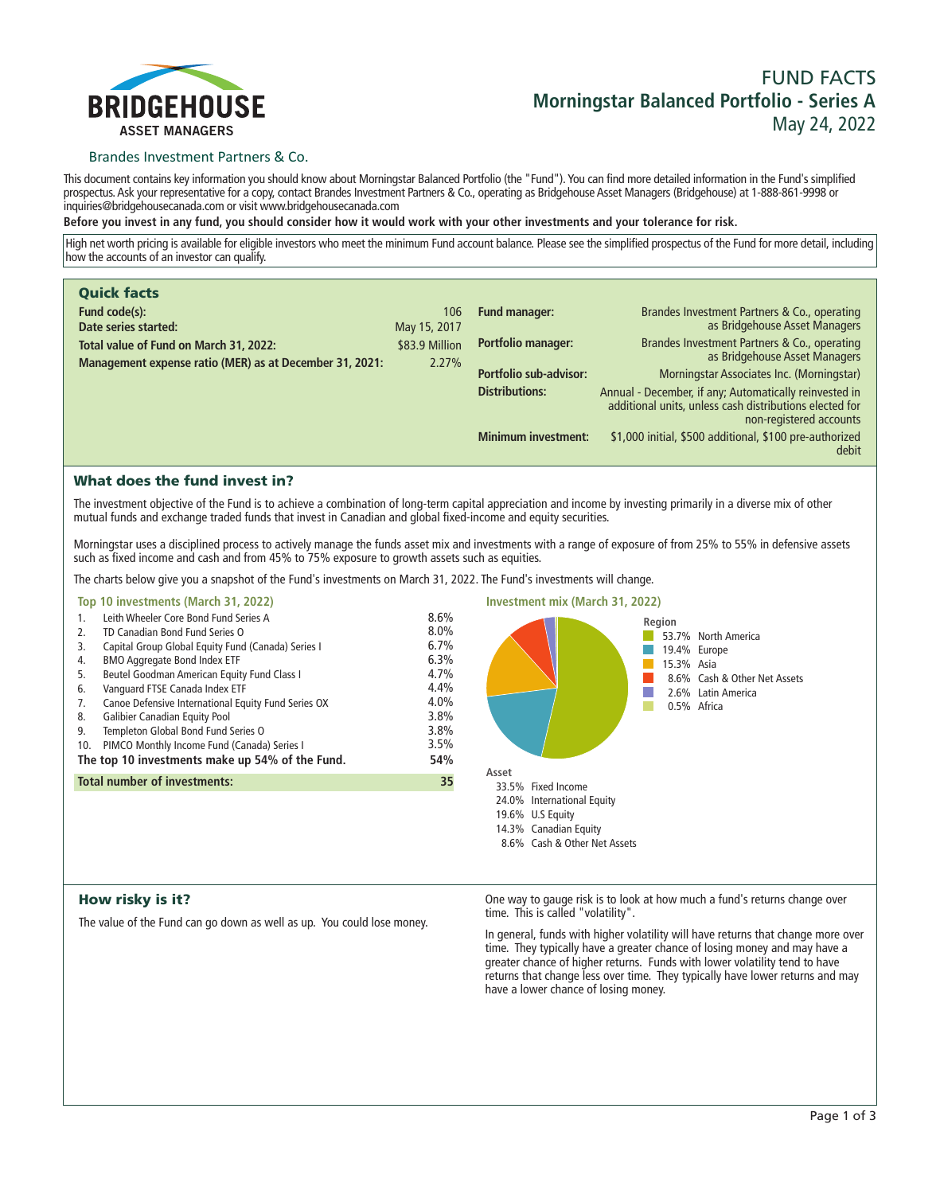

# **FUND FACTS Morningstar Balanced Portfolio - Series A May 24, 2022**

## Brandes Investment Partners & Co.

**This document contains key information you should know about Morningstar Balanced Portfolio (the "Fund"). You can find more detailed information in the Fund's simplified prospectus. Ask your representative for a copy, contact Brandes Investment Partners & Co., operating as Bridgehouse Asset Managers (Bridgehouse) at 1-888-861-9998 or inquiries@bridgehousecanada.com or visit www.bridgehousecanada.com**

**Before you invest in any fund, you should consider how it would work with your other investments and your tolerance for risk.**

**High net worth pricing is available for eligible investors who meet the minimum Fund account balance. Please see the simplified prospectus of the Fund for more detail, including how the accounts of an investor can qualify.**

| <b>Quick facts</b>                                      |                |                            |                                                                                                                                              |
|---------------------------------------------------------|----------------|----------------------------|----------------------------------------------------------------------------------------------------------------------------------------------|
| Fund code(s):                                           | 106            | <b>Fund manager:</b>       | Brandes Investment Partners & Co., operating                                                                                                 |
| Date series started:                                    | May 15, 2017   |                            | as Bridgehouse Asset Managers                                                                                                                |
| Total value of Fund on March 31, 2022:                  | \$83.9 Million | <b>Portfolio manager:</b>  | Brandes Investment Partners & Co., operating<br>as Bridgehouse Asset Managers                                                                |
| Management expense ratio (MER) as at December 31, 2021: | 2.27%          | Portfolio sub-advisor:     |                                                                                                                                              |
|                                                         |                |                            | Morningstar Associates Inc. (Morningstar)                                                                                                    |
|                                                         |                | <b>Distributions:</b>      | Annual - December, if any; Automatically reinvested in<br>additional units, unless cash distributions elected for<br>non-registered accounts |
|                                                         |                | <b>Minimum investment:</b> | \$1,000 initial, \$500 additional, \$100 pre-authorized<br>debit                                                                             |

# What does the fund invest in?

**The investment objective of the Fund is to achieve a combination of long-term capital appreciation and income by investing primarily in a diverse mix of other mutual funds and exchange traded funds that invest in Canadian and global fixed-income and equity securities.** 

**Morningstar uses a disciplined process to actively manage the funds asset mix and investments with a range of exposure of from 25% to 55% in defensive assets such as fixed income and cash and from 45% to 75% exposure to growth assets such as equities.**

**The charts below give you a snapshot of the Fund's investments on March 31, 2022. The Fund's investments will change.**

## **Top 10 investments (March 31, 2022)**

| 1.                                              | Leith Wheeler Core Bond Fund Series A               | 8.6% |
|-------------------------------------------------|-----------------------------------------------------|------|
| 2.                                              | TD Canadian Bond Fund Series O                      | 8.0% |
| 3.                                              | Capital Group Global Equity Fund (Canada) Series I  | 6.7% |
| 4.                                              | <b>BMO Aggregate Bond Index ETF</b>                 | 6.3% |
| 5.                                              | Beutel Goodman American Equity Fund Class I         | 4.7% |
| 6.                                              | Vanguard FTSE Canada Index ETF                      | 4.4% |
| 7.                                              | Canoe Defensive International Equity Fund Series OX | 4.0% |
| 8.                                              | <b>Galibier Canadian Equity Pool</b>                | 3.8% |
| 9.                                              | Templeton Global Bond Fund Series O                 | 3.8% |
| 10.                                             | PIMCO Monthly Income Fund (Canada) Series I         | 3.5% |
| The top 10 investments make up 54% of the Fund. |                                                     | 54%  |
| <b>Total number of investments:</b><br>35       |                                                     |      |
|                                                 |                                                     |      |



## How risky is it?

**The value of the Fund can go down as well as up. You could lose money.**

**One way to gauge risk is to look at how much a fund's returns change over time. This is called "volatility".**

**In general, funds with higher volatility will have returns that change more over time. They typically have a greater chance of losing money and may have a greater chance of higher returns. Funds with lower volatility tend to have returns that change less over time. They typically have lower returns and may have a lower chance of losing money.**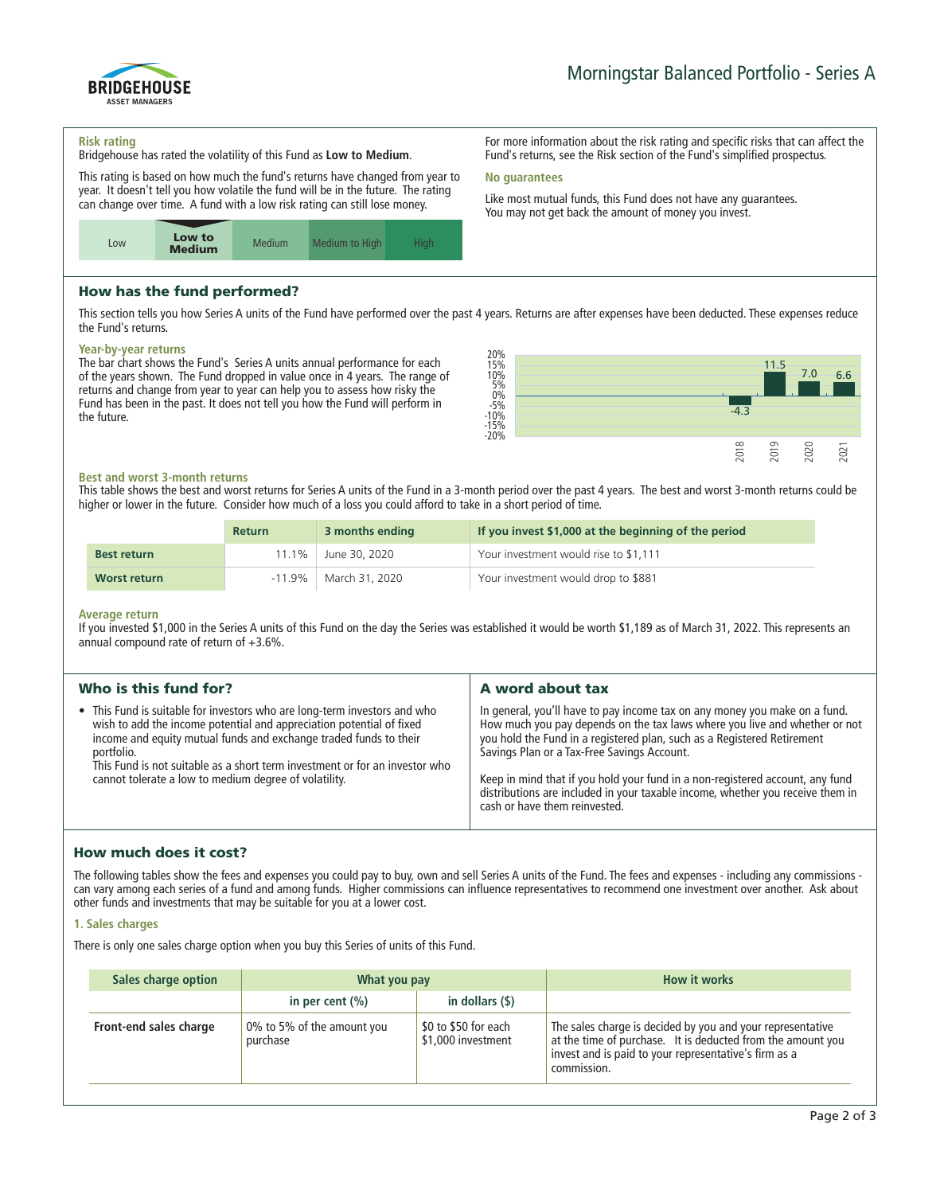

#### **Risk rating**

**Bridgehouse has rated the volatility of this Fund as Low to Medium.**

**This rating is based on how much the fund's returns have changed from year to year. It doesn't tell you how volatile the fund will be in the future. The rating can change over time. A fund with a low risk rating can still lose money.**



# How has the fund performed?

**This section tells you how Series A units of the Fund have performed over the past 4 years. Returns are after expenses have been deducted. These expenses reduce the Fund's returns.**

**No guarantees**

#### **Year-by-year returns**

**The bar chart shows the Fund's Series A units annual performance for each of the years shown. The Fund dropped in value once in 4 years. The range of returns and change from year to year can help you to assess how risky the Fund has been in the past. It does not tell you how the Fund will perform in the future.**



**For more information about the risk rating and specific risks that can affect the Fund's returns, see the Risk section of the Fund's simplified prospectus.**

**Like most mutual funds, this Fund does not have any guarantees. You may not get back the amount of money you invest.**

## **Best and worst 3-month returns**

**This table shows the best and worst returns for Series A units of the Fund in a 3-month period over the past 4 years. The best and worst 3-month returns could be higher or lower in the future. Consider how much of a loss you could afford to take in a short period of time.**

|                    | <b>Return</b> | 3 months ending | If you invest \$1,000 at the beginning of the period |
|--------------------|---------------|-----------------|------------------------------------------------------|
| <b>Best return</b> | l 1.1%        | June 30, 2020   | Your investment would rise to \$1,111                |
| Worst return       | $-11.9\%$     | March 31, 2020  | Your investment would drop to \$881                  |

#### **Average return**

**If you invested \$1,000 in the Series A units of this Fund on the day the Series was established it would be worth \$1,189 as of March 31, 2022. This represents an annual compound rate of return of +3.6%.**

| Who is this fund for?                                                                                                                                                                                                                                                                                                                                                        | A word about tax                                                                                                                                                                                                                                                                                                                                                                                                                                                                       |
|------------------------------------------------------------------------------------------------------------------------------------------------------------------------------------------------------------------------------------------------------------------------------------------------------------------------------------------------------------------------------|----------------------------------------------------------------------------------------------------------------------------------------------------------------------------------------------------------------------------------------------------------------------------------------------------------------------------------------------------------------------------------------------------------------------------------------------------------------------------------------|
| • This Fund is suitable for investors who are long-term investors and who<br>wish to add the income potential and appreciation potential of fixed<br>income and equity mutual funds and exchange traded funds to their<br>portfolio.<br>This Fund is not suitable as a short term investment or for an investor who<br>cannot tolerate a low to medium degree of volatility. | In general, you'll have to pay income tax on any money you make on a fund.<br>How much you pay depends on the tax laws where you live and whether or not<br>you hold the Fund in a registered plan, such as a Registered Retirement<br>Savings Plan or a Tax-Free Savings Account.<br>Keep in mind that if you hold your fund in a non-registered account, any fund<br>distributions are included in your taxable income, whether you receive them in<br>cash or have them reinvested. |
|                                                                                                                                                                                                                                                                                                                                                                              |                                                                                                                                                                                                                                                                                                                                                                                                                                                                                        |

## How much does it cost?

**The following tables show the fees and expenses you could pay to buy, own and sell Series A units of the Fund. The fees and expenses - including any commissions can vary among each series of a fund and among funds. Higher commissions can influence representatives to recommend one investment over another. Ask about other funds and investments that may be suitable for you at a lower cost.**

## **1. Sales charges**

**There is only one sales charge option when you buy this Series of units of this Fund.**

| Sales charge option    | What you pay                           |                                            | <b>How it works</b>                                                                                                                                                                               |
|------------------------|----------------------------------------|--------------------------------------------|---------------------------------------------------------------------------------------------------------------------------------------------------------------------------------------------------|
|                        | in per cent $(\% )$                    | in dollars $($ \$ $)$                      |                                                                                                                                                                                                   |
| Front-end sales charge | 0% to 5% of the amount you<br>purchase | \$0 to \$50 for each<br>\$1,000 investment | The sales charge is decided by you and your representative<br>at the time of purchase. It is deducted from the amount you<br>invest and is paid to your representative's firm as a<br>commission. |